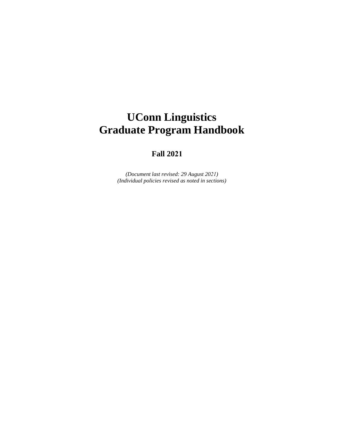# **UConn Linguistics Graduate Program Handbook**

### **Fall 2021**

*(Document last revised: 29 August 2021) (Individual policies revised as noted in sections)*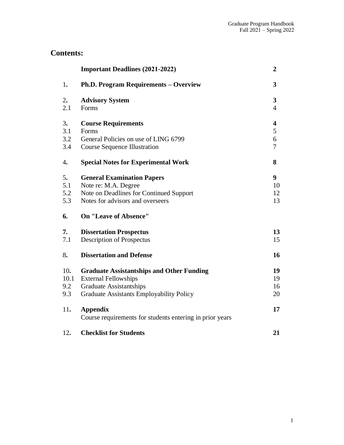## **Contents:**

|                           | <b>Important Deadlines (2021-2022)</b>                                                                                                                               | $\boldsymbol{2}$                 |
|---------------------------|----------------------------------------------------------------------------------------------------------------------------------------------------------------------|----------------------------------|
| 1.                        | <b>Ph.D. Program Requirements - Overview</b>                                                                                                                         | 3                                |
| 2.<br>2.1                 | <b>Advisory System</b><br>Forms                                                                                                                                      | $\mathbf{3}$<br>$\overline{4}$   |
| 3.<br>3.1<br>3.2<br>3.4   | <b>Course Requirements</b><br>Forms<br>General Policies on use of LING 6799<br><b>Course Sequence Illustration</b>                                                   | 4<br>5<br>6<br>7                 |
| 4.                        | <b>Special Notes for Experimental Work</b>                                                                                                                           | 8                                |
| 5.<br>5.1<br>5.2<br>5.3   | <b>General Examination Papers</b><br>Note re: M.A. Degree<br>Note on Deadlines for Continued Support<br>Notes for advisors and overseers                             | 9 <sup>°</sup><br>10<br>12<br>13 |
| 6.                        | <b>On "Leave of Absence"</b>                                                                                                                                         |                                  |
| 7.<br>7.1                 | <b>Dissertation Prospectus</b><br><b>Description of Prospectus</b>                                                                                                   | 13<br>15                         |
| 8.                        | <b>Dissertation and Defense</b>                                                                                                                                      | 16                               |
| 10.<br>10.1<br>9.2<br>9.3 | <b>Graduate Assistantships and Other Funding</b><br><b>External Fellowships</b><br><b>Graduate Assistantships</b><br><b>Graduate Assistants Employability Policy</b> | 19<br>19<br>16<br>20             |
| 11.                       | <b>Appendix</b><br>Course requirements for students entering in prior years                                                                                          | 17                               |
| 12.                       | <b>Checklist for Students</b>                                                                                                                                        | 21                               |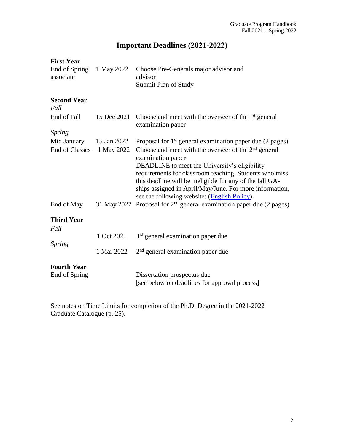# **Important Deadlines (2021-2022)**

### **First Year**

| End of Spring<br>associate          | 1 May 2022  | Choose Pre-Generals major advisor and<br>advisor<br>Submit Plan of Study                                                                                                                                                                                                                                                                                      |
|-------------------------------------|-------------|---------------------------------------------------------------------------------------------------------------------------------------------------------------------------------------------------------------------------------------------------------------------------------------------------------------------------------------------------------------|
| <b>Second Year</b><br>Fall          |             |                                                                                                                                                                                                                                                                                                                                                               |
| End of Fall                         | 15 Dec 2021 | Choose and meet with the overseer of the $1st$ general<br>examination paper                                                                                                                                                                                                                                                                                   |
| Spring                              |             |                                                                                                                                                                                                                                                                                                                                                               |
| Mid January                         | 15 Jan 2022 | Proposal for $1st$ general examination paper due (2 pages)                                                                                                                                                                                                                                                                                                    |
| <b>End of Classes</b>               | 1 May 2022  | Choose and meet with the overseer of the $2nd$ general<br>examination paper<br>DEADLINE to meet the University's eligibility<br>requirements for classroom teaching. Students who miss<br>this deadline will be ineligible for any of the fall GA-<br>ships assigned in April/May/June. For more information,<br>see the following website: (English Policy). |
| End of May                          |             | 31 May 2022 Proposal for $2nd$ general examination paper due (2 pages)                                                                                                                                                                                                                                                                                        |
| <b>Third Year</b><br>Fall           |             |                                                                                                                                                                                                                                                                                                                                                               |
|                                     | 1 Oct 2021  | 1 <sup>st</sup> general examination paper due                                                                                                                                                                                                                                                                                                                 |
| <b>Spring</b>                       | 1 Mar 2022  | $2nd$ general examination paper due                                                                                                                                                                                                                                                                                                                           |
| <b>Fourth Year</b><br>End of Spring |             | Dissertation prospectus due<br>[see below on deadlines for approval process]                                                                                                                                                                                                                                                                                  |

See notes on Time Limits for completion of the Ph.D. Degree in the 2021-2022 Graduate Catalogue (p. 25).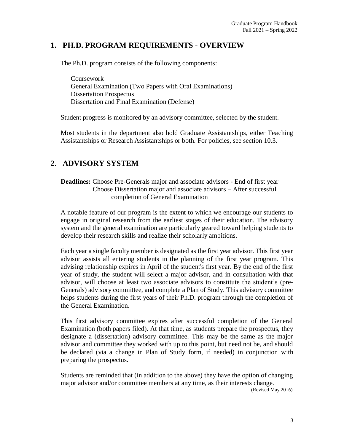### **1. PH.D. PROGRAM REQUIREMENTS - OVERVIEW**

The Ph.D. program consists of the following components:

Coursework General Examination (Two Papers with Oral Examinations) Dissertation Prospectus Dissertation and Final Examination (Defense)

Student progress is monitored by an advisory committee, selected by the student.

Most students in the department also hold Graduate Assistantships, either Teaching Assistantships or Research Assistantships or both. For policies, see section 10.3.

### **2. ADVISORY SYSTEM**

**Deadlines:** Choose Pre-Generals major and associate advisors - End of first year Choose Dissertation major and associate advisors – After successful completion of General Examination

A notable feature of our program is the extent to which we encourage our students to engage in original research from the earliest stages of their education. The advisory system and the general examination are particularly geared toward helping students to develop their research skills and realize their scholarly ambitions.

Each year a single faculty member is designated as the first year advisor. This first year advisor assists all entering students in the planning of the first year program. This advising relationship expires in April of the student's first year. By the end of the first year of study, the student will select a major advisor, and in consultation with that advisor, will choose at least two associate advisors to constitute the student's (pre-Generals) advisory committee, and complete a Plan of Study. This advisory committee helps students during the first years of their Ph.D. program through the completion of the General Examination.

This first advisory committee expires after successful completion of the General Examination (both papers filed). At that time, as students prepare the prospectus, they designate a (dissertation) advisory committee. This may be the same as the major advisor and committee they worked with up to this point, but need not be, and should be declared (via a change in Plan of Study form, if needed) in conjunction with preparing the prospectus.

Students are reminded that (in addition to the above) they have the option of changing major advisor and/or committee members at any time, as their interests change.

(Revised May 2016)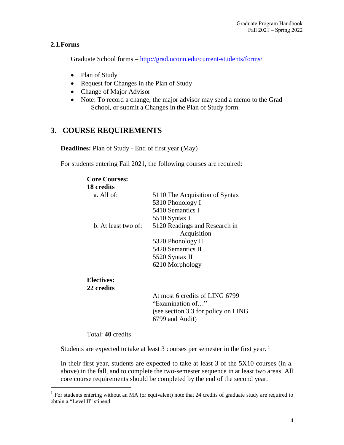### **2.1.Forms**

Graduate School forms – http://grad.uconn.edu/current-students/forms/

- Plan of Study
- Request for Changes in the Plan of Study
- Change of Major Advisor
- Note: To record a change, the major advisor may send a memo to the Grad School, or submit a Changes in the Plan of Study form.

### **3. COURSE REQUIREMENTS**

**Deadlines:** Plan of Study - End of first year (May)

For students entering Fall 2021, the following courses are required:

| <b>Core Courses:</b> |                                |
|----------------------|--------------------------------|
| 18 credits           |                                |
| a. All of:           | 5110 The Acquisition of Syntax |
|                      | 5310 Phonology I               |
|                      | 5410 Semantics I               |
|                      | 5510 Syntax I                  |
| b. At least two of:  | 5120 Readings and Research in  |
|                      | Acquisition                    |
|                      | 5320 Phonology II              |
|                      | 5420 Semantics II              |
|                      | 5520 Syntax II                 |
|                      | 6210 Morphology                |
| Electives:           |                                |
| 22 credits           |                                |

At most 6 credits of LING 6799 "Examination of…" (see section 3.3 for policy on LING 6799 and Audit)

Total: **40** credits

Students are expected to take at least 3 courses per semester in the first year. <sup>1</sup>

In their first year, students are expected to take at least 3 of the 5X10 courses (in a. above) in the fall, and to complete the two-semester sequence in at least two areas. All core course requirements should be completed by the end of the second year.

<sup>1</sup> For students entering without an MA (or equivalent) note that 24 credits of graduate study are required to obtain a "Level II" stipend.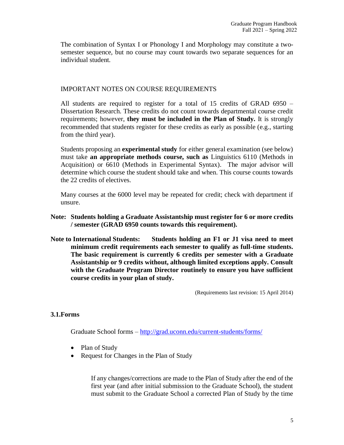The combination of Syntax I or Phonology I and Morphology may constitute a twosemester sequence, but no course may count towards two separate sequences for an individual student.

### IMPORTANT NOTES ON COURSE REQUIREMENTS

All students are required to register for a total of 15 credits of GRAD 6950 – Dissertation Research. These credits do not count towards departmental course credit requirements; however, **they must be included in the Plan of Study.** It is strongly recommended that students register for these credits as early as possible (e.g., starting from the third year).

Students proposing an **experimental study** for either general examination (see below) must take **an appropriate methods course, such as** Linguistics 6110 (Methods in Acquisition) or 6610 (Methods in Experimental Syntax). The major advisor will determine which course the student should take and when. This course counts towards the 22 credits of electives.

Many courses at the 6000 level may be repeated for credit; check with department if unsure.

- **Note: Students holding a Graduate Assistantship must register for 6 or more credits / semester (GRAD 6950 counts towards this requirement).**
- **Note to International Students: Students holding an F1 or J1 visa need to meet minimum credit requirements each semester to qualify as full-time students. The basic requirement is currently 6 credits per semester with a Graduate Assistantship or 9 credits without, although limited exceptions apply. Consult with the Graduate Program Director routinely to ensure you have sufficient course credits in your plan of study.**

(Requirements last revision: 15 April 2014)

### **3.1.Forms**

Graduate School forms – http://grad.uconn.edu/current-students/forms/

- Plan of Study
- Request for Changes in the Plan of Study

If any changes/corrections are made to the Plan of Study after the end of the first year (and after initial submission to the Graduate School), the student must submit to the Graduate School a corrected Plan of Study by the time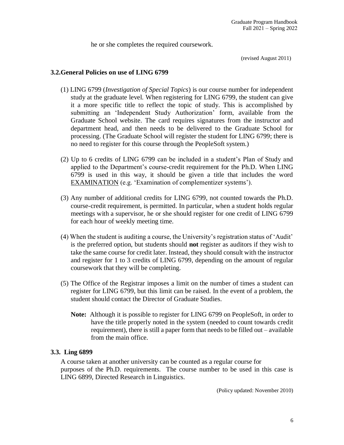he or she completes the required coursework.

(revised August 2011)

### **3.2.General Policies on use of LING 6799**

- (1) LING 6799 (*Investigation of Special Topics*) is our course number for independent study at the graduate level. When registering for LING 6799, the student can give it a more specific title to reflect the topic of study. This is accomplished by submitting an 'Independent Study Authorization' form, available from the Graduate School website. The card requires signatures from the instructor and department head, and then needs to be delivered to the Graduate School for processing. (The Graduate School will register the student for LING 6799; there is no need to register for this course through the PeopleSoft system.)
- (2) Up to 6 credits of LING 6799 can be included in a student's Plan of Study and applied to the Department's course-credit requirement for the Ph.D. When LING 6799 is used in this way, it should be given a title that includes the word EXAMINATION (e.g. 'Examination of complementizer systems').
- (3) Any number of additional credits for LING 6799, not counted towards the Ph.D. course-credit requirement, is permitted. In particular, when a student holds regular meetings with a supervisor, he or she should register for one credit of LING 6799 for each hour of weekly meeting time.
- (4) When the student is auditing a course, the University's registration status of 'Audit' is the preferred option, but students should **not** register as auditors if they wish to take the same course for credit later. Instead, they should consult with the instructor and register for 1 to 3 credits of LING 6799, depending on the amount of regular coursework that they will be completing.
- (5) The Office of the Registrar imposes a limit on the number of times a student can register for LING 6799, but this limit can be raised. In the event of a problem, the student should contact the Director of Graduate Studies.
	- **Note:** Although it is possible to register for LING 6799 on PeopleSoft, in order to have the title properly noted in the system (needed to count towards credit requirement), there is still a paper form that needs to be filled out – available from the main office.

#### **3.3. Ling 6899**

A course taken at another university can be counted as a regular course for purposes of the Ph.D. requirements. The course number to be used in this case is LING 6899, Directed Research in Linguistics.

(Policy updated: November 2010)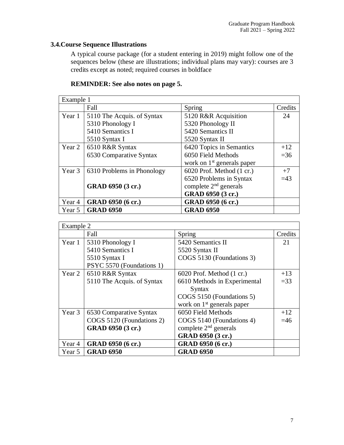### **3.4.Course Sequence Illustrations**

A typical course package (for a student entering in 2019) might follow one of the sequences below (these are illustrations; individual plans may vary): courses are 3 credits except as noted; required courses in boldface

| Example 1 |                            |                              |         |
|-----------|----------------------------|------------------------------|---------|
|           | Fall                       | Spring                       | Credits |
| Year 1    | 5110 The Acquis. of Syntax | 5120 R&R Acquisition         | 24      |
|           | 5310 Phonology I           | 5320 Phonology II            |         |
|           | 5410 Semantics I           | 5420 Semantics II            |         |
|           | 5510 Syntax I              | 5520 Syntax II               |         |
| Year 2    | 6510 R&R Syntax            | 6420 Topics in Semantics     | $+12$   |
|           | 6530 Comparative Syntax    | 6050 Field Methods           | $=36$   |
|           |                            | work on $1st$ generals paper |         |
| Year 3    | 6310 Problems in Phonology | 6020 Prof. Method (1 cr.)    | $+7$    |
|           |                            | 6520 Problems in Syntax      | $=43$   |
|           | GRAD 6950 (3 cr.)          | complete $2nd$ generals      |         |
|           |                            | GRAD 6950 (3 cr.)            |         |
| Year 4    | GRAD 6950 (6 cr.)          | GRAD 6950 (6 cr.)            |         |
| Year 5    | <b>GRAD 6950</b>           | <b>GRAD 6950</b>             |         |

| Example 2 |                            |                                       |         |
|-----------|----------------------------|---------------------------------------|---------|
|           | Fall                       | Spring                                | Credits |
| Year 1    | 5310 Phonology I           | 5420 Semantics II                     | 21      |
|           | 5410 Semantics I           | 5520 Syntax II                        |         |
|           | 5510 Syntax I              | COGS 5130 (Foundations 3)             |         |
|           | PSYC 5570 (Foundations 1)  |                                       |         |
| Year 2    | 6510 R&R Syntax            | $6020$ Prof. Method $(1 \text{ cr.})$ | $+13$   |
|           | 5110 The Acquis. of Syntax | 6610 Methods in Experimental          | $=$ 33  |
|           |                            | Syntax                                |         |
|           |                            | COGS 5150 (Foundations 5)             |         |
|           |                            | work on $1st$ generals paper          |         |
| Year 3    | 6530 Comparative Syntax    | 6050 Field Methods                    | $+12$   |
|           | COGS 5120 (Foundations 2)  | COGS 5140 (Foundations 4)             | $=46$   |
|           | GRAD 6950 (3 cr.)          | complete $2nd$ generals               |         |
|           |                            | GRAD 6950 (3 cr.)                     |         |
| Year 4    | GRAD 6950 (6 cr.)          | GRAD 6950 (6 cr.)                     |         |
| Year 5    | <b>GRAD 6950</b>           | <b>GRAD 6950</b>                      |         |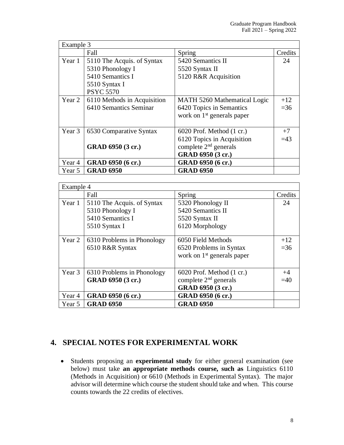| Example 3 |                             |                                       |         |
|-----------|-----------------------------|---------------------------------------|---------|
|           | Fall                        | Spring                                | Credits |
| Year 1    | 5110 The Acquis. of Syntax  | 5420 Semantics II                     | 24      |
|           | 5310 Phonology I            | 5520 Syntax II                        |         |
|           | 5410 Semantics I            | 5120 R&R Acquisition                  |         |
|           | 5510 Syntax I               |                                       |         |
|           | <b>PSYC 5570</b>            |                                       |         |
| Year 2    | 6110 Methods in Acquisition | <b>MATH 5260 Mathematical Logic</b>   | $+12$   |
|           | 6410 Semantics Seminar      | 6420 Topics in Semantics              | $=36$   |
|           |                             | work on $1st$ generals paper          |         |
|           |                             |                                       |         |
| Year 3    | 6530 Comparative Syntax     | $6020$ Prof. Method $(1 \text{ cr.})$ | $+7$    |
|           |                             | 6120 Topics in Acquisition            | $=43$   |
|           | GRAD 6950 (3 cr.)           | complete $2nd$ generals               |         |
|           |                             | GRAD 6950 (3 cr.)                     |         |
| Year 4    | GRAD 6950 (6 cr.)           | GRAD 6950 (6 cr.)                     |         |
| Year 5    | <b>GRAD 6950</b>            | <b>GRAD 6950</b>                      |         |

| Example 4 |                            |                                       |         |
|-----------|----------------------------|---------------------------------------|---------|
|           | Fall                       | Spring                                | Credits |
| Year 1    | 5110 The Acquis. of Syntax | 5320 Phonology II                     | 24      |
|           | 5310 Phonology I           | 5420 Semantics II                     |         |
|           | 5410 Semantics I           | 5520 Syntax II                        |         |
|           | 5510 Syntax I              | 6120 Morphology                       |         |
|           |                            |                                       |         |
| Year 2    | 6310 Problems in Phonology | 6050 Field Methods                    | $+12$   |
|           | 6510 R&R Syntax            | 6520 Problems in Syntax               | $=36$   |
|           |                            | work on $1st$ generals paper          |         |
|           |                            |                                       |         |
| Year 3    | 6310 Problems in Phonology | $6020$ Prof. Method $(1 \text{ cr.})$ | $+4$    |
|           | GRAD 6950 (3 cr.)          | complete $2nd$ generals               | $=40$   |
|           |                            | GRAD 6950 (3 cr.)                     |         |
| Year 4    | GRAD 6950 (6 cr.)          | GRAD 6950 (6 cr.)                     |         |
| Year 5    | <b>GRAD 6950</b>           | <b>GRAD 6950</b>                      |         |

### **4. SPECIAL NOTES FOR EXPERIMENTAL WORK**

• Students proposing an **experimental study** for either general examination (see below) must take **an appropriate methods course, such as** Linguistics 6110 (Methods in Acquisition) or 6610 (Methods in Experimental Syntax). The major advisor will determine which course the student should take and when. This course counts towards the 22 credits of electives.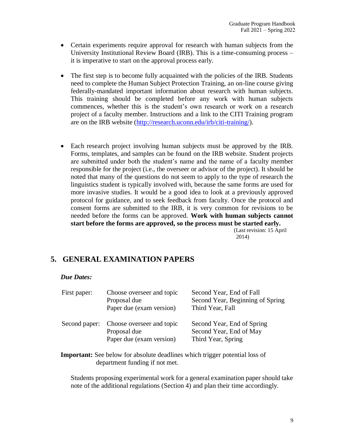- Certain experiments require approval for research with human subjects from the University Institutional Review Board (IRB). This is a time-consuming process – it is imperative to start on the approval process early.
- The first step is to become fully acquainted with the policies of the IRB. Students need to complete the Human Subject Protection Training, an on-line course giving federally-mandated important information about research with human subjects. This training should be completed before any work with human subjects commences, whether this is the student's own research or work on a research project of a faculty member. Instructions and a link to the CITI Training program are on the IRB website (http://research.uconn.edu/irb/citi-training/).
- Each research project involving human subjects must be approved by the IRB. Forms, templates, and samples can be found on the IRB website. Student projects are submitted under both the student's name and the name of a faculty member responsible for the project (i.e., the overseer or advisor of the project). It should be noted that many of the questions do not seem to apply to the type of research the linguistics student is typically involved with, because the same forms are used for more invasive studies. It would be a good idea to look at a previously approved protocol for guidance, and to seek feedback from faculty. Once the protocol and consent forms are submitted to the IRB, it is very common for revisions to be needed before the forms can be approved. **Work with human subjects cannot start before the forms are approved, so the process must be started early.** (Last revision: 15 April

2014)

### **5. GENERAL EXAMINATION PAPERS**

#### *Due Dates:*

| First paper: | Choose overseer and topic<br>Proposal due<br>Paper due (exam version)               | Second Year, End of Fall<br>Second Year, Beginning of Spring<br>Third Year, Fall |
|--------------|-------------------------------------------------------------------------------------|----------------------------------------------------------------------------------|
|              | Second paper: Choose overseer and topic<br>Proposal due<br>Paper due (exam version) | Second Year, End of Spring<br>Second Year, End of May<br>Third Year, Spring      |

**Important:** See below for absolute deadlines which trigger potential loss of department funding if not met.

Students proposing experimental work for a general examination paper should take note of the additional regulations (Section 4) and plan their time accordingly.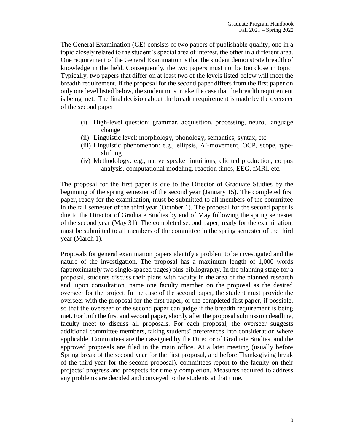The General Examination (GE) consists of two papers of publishable quality, one in a topic closely related to the student's special area of interest, the other in a different area. One requirement of the General Examination is that the student demonstrate breadth of knowledge in the field. Consequently, the two papers must not be too close in topic. Typically, two papers that differ on at least two of the levels listed below will meet the breadth requirement. If the proposal for the second paper differs from the first paper on only one level listed below, the student must make the case that the breadth requirement is being met. The final decision about the breadth requirement is made by the overseer of the second paper.

- (i) High-level question: grammar, acquisition, processing, neuro, language change
- (ii) Linguistic level: morphology, phonology, semantics, syntax, etc.
- (iii) Linguistic phenomenon: e.g., ellipsis, A'-movement, OCP, scope, typeshifting
- (iv) Methodology: e.g., native speaker intuitions, elicited production, corpus analysis, computational modeling, reaction times, EEG, fMRI, etc.

The proposal for the first paper is due to the Director of Graduate Studies by the beginning of the spring semester of the second year (January 15). The completed first paper, ready for the examination, must be submitted to all members of the committee in the fall semester of the third year (October 1). The proposal for the second paper is due to the Director of Graduate Studies by end of May following the spring semester of the second year (May 31). The completed second paper, ready for the examination, must be submitted to all members of the committee in the spring semester of the third year (March 1).

Proposals for general examination papers identify a problem to be investigated and the nature of the investigation. The proposal has a maximum length of 1,000 words (approximately two single-spaced pages) plus bibliography. In the planning stage for a proposal, students discuss their plans with faculty in the area of the planned research and, upon consultation, name one faculty member on the proposal as the desired overseer for the project. In the case of the second paper, the student must provide the overseer with the proposal for the first paper, or the completed first paper, if possible, so that the overseer of the second paper can judge if the breadth requirement is being met. For both the first and second paper, shortly after the proposal submission deadline, faculty meet to discuss all proposals. For each proposal, the overseer suggests additional committee members, taking students' preferences into consideration where applicable. Committees are then assigned by the Director of Graduate Studies, and the approved proposals are filed in the main office. At a later meeting (usually before Spring break of the second year for the first proposal, and before Thanksgiving break of the third year for the second proposal), committees report to the faculty on their projects' progress and prospects for timely completion. Measures required to address any problems are decided and conveyed to the students at that time.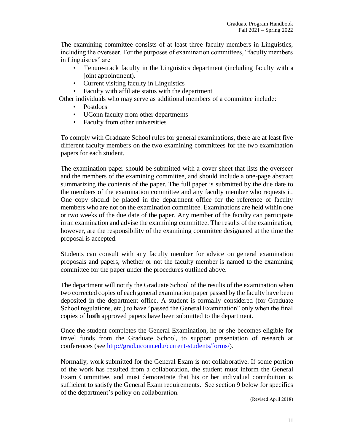The examining committee consists of at least three faculty members in Linguistics, including the overseer. For the purposes of examination committees, "faculty members in Linguistics" are

- Tenure-track faculty in the Linguistics department (including faculty with a joint appointment).
- Current visiting faculty in Linguistics
- Faculty with affiliate status with the department

Other individuals who may serve as additional members of a committee include:

- Postdocs
- UConn faculty from other departments
- Faculty from other universities

To comply with Graduate School rules for general examinations, there are at least five different faculty members on the two examining committees for the two examination papers for each student.

The examination paper should be submitted with a cover sheet that lists the overseer and the members of the examining committee, and should include a one-page abstract summarizing the contents of the paper. The full paper is submitted by the due date to the members of the examination committee and any faculty member who requests it. One copy should be placed in the department office for the reference of faculty members who are not on the examination committee. Examinations are held within one or two weeks of the due date of the paper. Any member of the faculty can participate in an examination and advise the examining committee. The results of the examination, however, are the responsibility of the examining committee designated at the time the proposal is accepted.

Students can consult with any faculty member for advice on general examination proposals and papers, whether or not the faculty member is named to the examining committee for the paper under the procedures outlined above.

The department will notify the Graduate School of the results of the examination when two corrected copies of each general examination paper passed by the faculty have been deposited in the department office. A student is formally considered (for Graduate School regulations, etc.) to have "passed the General Examination" only when the final copies of **both** approved papers have been submitted to the department.

Once the student completes the General Examination, he or she becomes eligible for travel funds from the Graduate School, to support presentation of research at conferences (see http://grad.uconn.edu/current-students/forms/).

Normally, work submitted for the General Exam is not collaborative. If some portion of the work has resulted from a collaboration, the student must inform the General Exam Committee, and must demonstrate that his or her individual contribution is sufficient to satisfy the General Exam requirements. See section 9 below for specifics of the department's policy on collaboration.

(Revised April 2018)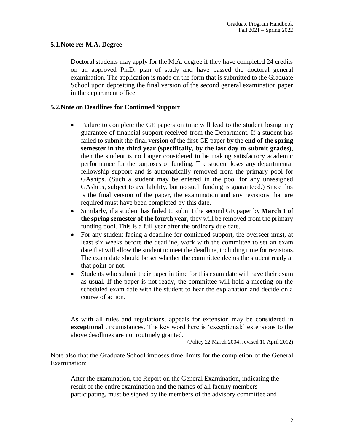### **5.1.Note re: M.A. Degree**

Doctoral students may apply for the M.A. degree if they have completed 24 credits on an approved Ph.D. plan of study and have passed the doctoral general examination. The application is made on the form that is submitted to the Graduate School upon depositing the final version of the second general examination paper in the department office.

### **5.2.Note on Deadlines for Continued Support**

- Failure to complete the GE papers on time will lead to the student losing any guarantee of financial support received from the Department. If a student has failed to submit the final version of the first GE paper by the **end of the spring semester in the third year (specifically, by the last day to submit grades)**, then the student is no longer considered to be making satisfactory academic performance for the purposes of funding. The student loses any departmental fellowship support and is automatically removed from the primary pool for GAships. (Such a student may be entered in the pool for any unassigned GAships, subject to availability, but no such funding is guaranteed.) Since this is the final version of the paper, the examination and any revisions that are required must have been completed by this date.
- Similarly, if a student has failed to submit the second GE paper by **March 1 of the spring semester of the fourth year**, they will be removed from the primary funding pool. This is a full year after the ordinary due date.
- For any student facing a deadline for continued support, the overseer must, at least six weeks before the deadline, work with the committee to set an exam date that will allow the student to meet the deadline, including time for revisions. The exam date should be set whether the committee deems the student ready at that point or not.
- Students who submit their paper in time for this exam date will have their exam as usual. If the paper is not ready, the committee will hold a meeting on the scheduled exam date with the student to hear the explanation and decide on a course of action.

As with all rules and regulations, appeals for extension may be considered in **exceptional** circumstances. The key word here is 'exceptional;' extensions to the above deadlines are not routinely granted.

(Policy 22 March 2004; revised 10 April 2012)

Note also that the Graduate School imposes time limits for the completion of the General Examination:

After the examination, the Report on the General Examination, indicating the result of the entire examination and the names of all faculty members participating, must be signed by the members of the advisory committee and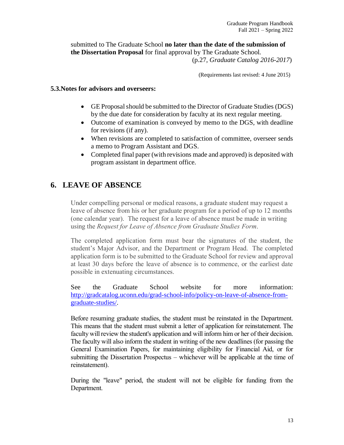submitted to The Graduate School **no later than the date of the submission of the Dissertation Proposal** for final approval by The Graduate School.

(p.27, *Graduate Catalog 2016-2017*)

(Requirements last revised: 4 June 2015)

### **5.3.Notes for advisors and overseers:**

- GE Proposal should be submitted to the Director of Graduate Studies (DGS) by the due date for consideration by faculty at its next regular meeting.
- Outcome of examination is conveyed by memo to the DGS, with deadline for revisions (if any).
- When revisions are completed to satisfaction of committee, overseer sends a memo to Program Assistant and DGS.
- Completed final paper (with revisions made and approved) is deposited with program assistant in department office.

### **6. LEAVE OF ABSENCE**

Under compelling personal or medical reasons, a graduate student may request a leave of absence from his or her graduate program for a period of up to 12 months (one calendar year). The request for a leave of absence must be made in writing using the *Request for Leave of Absence from Graduate Studies Form*.

The completed application form must bear the signatures of the student, the student's Major Advisor, and the Department or Program Head. The completed application form is to be submitted to the Graduate School for review and approval at least 30 days before the leave of absence is to commence, or the earliest date possible in extenuating circumstances.

See the Graduate School website for more information: http://gradcatalog.uconn.edu/grad-school-info/policy-on-leave-of-absence-fromgraduate-studies/.

Before resuming graduate studies, the student must be reinstated in the Department. This means that the student must submit a letter of application for reinstatement. The faculty will review the student's application and will inform him or her of their decision. The faculty will also inform the student in writing of the new deadlines (for passing the General Examination Papers, for maintaining eligibility for Financial Aid, or for submitting the Dissertation Prospectus – whichever will be applicable at the time of reinstatement).

During the "leave" period, the student will not be eligible for funding from the Department.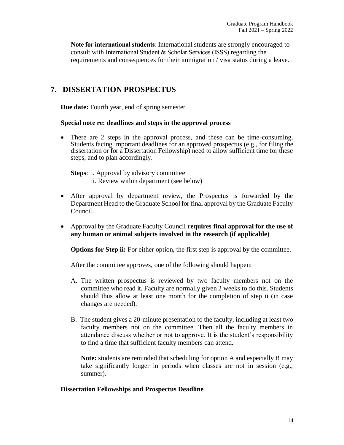**Note for international students**: International students are strongly encouraged to consult with International Student & Scholar Services (ISSS) regarding the requirements and consequences for their immigration / visa status during a leave.

### **7. DISSERTATION PROSPECTUS**

**Due date:** Fourth year, end of spring semester

### **Special note re: deadlines and steps in the approval process**

• There are 2 steps in the approval process, and these can be time-consuming. Students facing important deadlines for an approved prospectus (e.g., for filing the dissertation or for a Dissertation Fellowship) need to allow sufficient time for these steps, and to plan accordingly.

**Steps**: i. Approval by advisory committee ii. Review within department (see below)

- After approval by department review, the Prospectus is forwarded by the Department Head to the Graduate School for final approval by the Graduate Faculty Council.
- Approval by the Graduate Faculty Council **requires final approval for the use of any human or animal subjects involved in the research (if applicable)**

**Options for Step ii:** For either option, the first step is approval by the committee.

After the committee approves, one of the following should happen:

- A. The written prospectus is reviewed by two faculty members not on the committee who read it. Faculty are normally given 2 weeks to do this. Students should thus allow at least one month for the completion of step ii (in case changes are needed).
- B. The student gives a 20-minute presentation to the faculty, including at least two faculty members not on the committee. Then all the faculty members in attendance discuss whether or not to approve. It is the student's responsibility to find a time that sufficient faculty members can attend.

**Note:** students are reminded that scheduling for option A and especially B may take significantly longer in periods when classes are not in session (e.g., summer).

### **Dissertation Fellowships and Prospectus Deadline**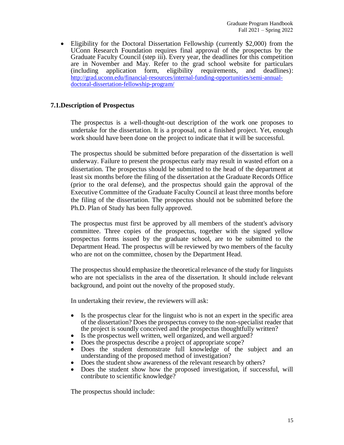• Eligibility for the Doctoral Dissertation Fellowship (currently \$2,000) from the UConn Research Foundation requires final approval of the prospectus by the Graduate Faculty Council (step iii). Every year, the deadlines for this competition are in November and May. Refer to the grad school website for particulars (including application form, eligibility requirements, and deadlines): http://grad.uconn.edu/financial-resources/internal-funding-opportunities/semi-annualdoctoral-dissertation-fellowship-program/

### **7.1.Description of Prospectus**

The prospectus is a well-thought-out description of the work one proposes to undertake for the dissertation. It is a proposal, not a finished project. Yet, enough work should have been done on the project to indicate that it will be successful.

The prospectus should be submitted before preparation of the dissertation is well underway. Failure to present the prospectus early may result in wasted effort on a dissertation. The prospectus should be submitted to the head of the department at least six months before the filing of the dissertation at the Graduate Records Office (prior to the oral defense), and the prospectus should gain the approval of the Executive Committee of the Graduate Faculty Council at least three months before the filing of the dissertation. The prospectus should not be submitted before the Ph.D. Plan of Study has been fully approved.

The prospectus must first be approved by all members of the student's advisory committee. Three copies of the prospectus, together with the signed yellow prospectus forms issued by the graduate school, are to be submitted to the Department Head. The prospectus will be reviewed by two members of the faculty who are not on the committee, chosen by the Department Head.

The prospectus should emphasize the theoretical relevance of the study for linguists who are not specialists in the area of the dissertation. It should include relevant background, and point out the novelty of the proposed study.

In undertaking their review, the reviewers will ask:

- Is the prospectus clear for the linguist who is not an expert in the specific area of the dissertation? Does the prospectus convey to the non-specialist reader that the project is soundly conceived and the prospectus thoughtfully written?
- Is the prospectus well written, well organized, and well argued?
- Does the prospectus describe a project of appropriate scope?
- Does the student demonstrate full knowledge of the subject and an understanding of the proposed method of investigation?
- Does the student show awareness of the relevant research by others?
- Does the student show how the proposed investigation, if successful, will contribute to scientific knowledge?

The prospectus should include: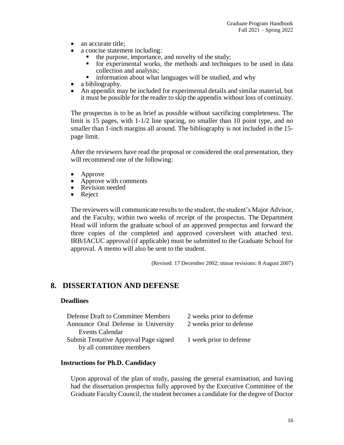- an accurate title;
- a concise statement including:
	- the purpose, importance, and novelty of the study;
	- for experimental works, the methods and techniques to be used in data collection and analysis;
	- information about what languages will be studied, and why
- a bibliography.
- An appendix may be included for experimental details and similar material, but it must be possible for the reader to skip the appendix without loss of continuity.

The prospectus is to be as brief as possible without sacrificing completeness. The limit is 15 pages, with 1-1/2 line spacing, no smaller than 10 point type, and no smaller than 1-inch margins all around. The bibliography is not included in the 15 page limit.

After the reviewers have read the proposal or considered the oral presentation, they will recommend one of the following:

- Approve
- Approve with comments
- Revision needed
- Reject

The reviewers will communicate results to the student, the student's Major Advisor, and the Faculty, within two weeks of receipt of the prospectus. The Department Head will inform the graduate school of an approved prospectus and forward the three copies of the completed and approved coversheet with attached text. IRB/IACUC approval (if applicable) must be submitted to the Graduate School for approval. A memo will also be sent to the student.

(Revised: 17 December 2002; minor revisions: 8 August 2007)

### **8. DISSERTATION AND DEFENSE**

#### **Deadlines**

| <b>Defense Draft to Committee Members</b> | 2 weeks prior to defense |
|-------------------------------------------|--------------------------|
| Announce Oral Defense in University       | 2 weeks prior to defense |
| <b>Events Calendar</b>                    |                          |
| Submit Tentative Approval Page signed     | 1 week prior to defense  |
| by all committee members                  |                          |

#### **Instructions for Ph.D. Candidacy**

Upon approval of the plan of study, passing the general examination, and having had the dissertation prospectus fully approved by the Executive Committee of the Graduate Faculty Council, the student becomes a candidate for the degree of Doctor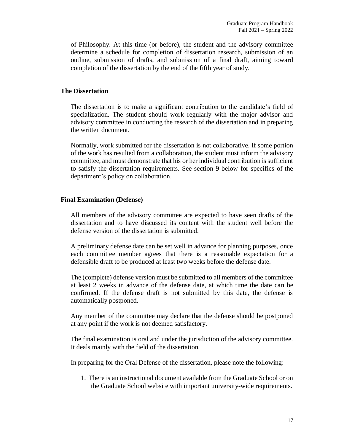of Philosophy. At this time (or before), the student and the advisory committee determine a schedule for completion of dissertation research, submission of an outline, submission of drafts, and submission of a final draft, aiming toward completion of the dissertation by the end of the fifth year of study.

### **The Dissertation**

The dissertation is to make a significant contribution to the candidate's field of specialization. The student should work regularly with the major advisor and advisory committee in conducting the research of the dissertation and in preparing the written document.

Normally, work submitted for the dissertation is not collaborative. If some portion of the work has resulted from a collaboration, the student must inform the advisory committee, and must demonstrate that his or her individual contribution is sufficient to satisfy the dissertation requirements. See section 9 below for specifics of the department's policy on collaboration.

#### **Final Examination (Defense)**

All members of the advisory committee are expected to have seen drafts of the dissertation and to have discussed its content with the student well before the defense version of the dissertation is submitted.

A preliminary defense date can be set well in advance for planning purposes, once each committee member agrees that there is a reasonable expectation for a defensible draft to be produced at least two weeks before the defense date.

The (complete) defense version must be submitted to all members of the committee at least 2 weeks in advance of the defense date, at which time the date can be confirmed. If the defense draft is not submitted by this date, the defense is automatically postponed.

Any member of the committee may declare that the defense should be postponed at any point if the work is not deemed satisfactory.

The final examination is oral and under the jurisdiction of the advisory committee. It deals mainly with the field of the dissertation.

In preparing for the Oral Defense of the dissertation, please note the following:

1. There is an instructional document available from the Graduate School or on the Graduate School website with important university-wide requirements.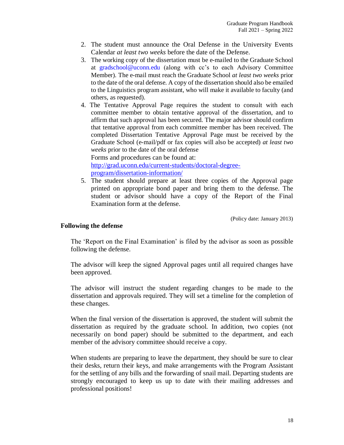- 2. The student must announce the Oral Defense in the University Events Calendar *at least two weeks* before the date of the Defense.
- 3. The working copy of the dissertation must be e-mailed to the Graduate School at gradschool@uconn.edu (along with cc's to each Advisory Committee Member). The e-mail must reach the Graduate School *at least two weeks* prior to the date of the oral defense. A copy of the dissertation should also be emailed to the Linguistics program assistant, who will make it available to faculty (and others, as requested).
- 4. The Tentative Approval Page requires the student to consult with each committee member to obtain tentative approval of the dissertation, and to affirm that such approval has been secured. The major advisor should confirm that tentative approval from each committee member has been received. The completed Dissertation Tentative Approval Page must be received by the Graduate School (e-mail/pdf or fax copies will also be accepted) *at least two weeks* prior to the date of the oral defense Forms and procedures can be found at:

http://grad.uconn.edu/current-students/doctoral-degreeprogram/dissertation-information/

5. The student should prepare at least three copies of the Approval page printed on appropriate bond paper and bring them to the defense. The student or advisor should have a copy of the Report of the Final Examination form at the defense.

(Policy date: January 2013)

#### **Following the defense**

The 'Report on the Final Examination' is filed by the advisor as soon as possible following the defense.

The advisor will keep the signed Approval pages until all required changes have been approved.

The advisor will instruct the student regarding changes to be made to the dissertation and approvals required. They will set a timeline for the completion of these changes.

When the final version of the dissertation is approved, the student will submit the dissertation as required by the graduate school. In addition, two copies (not necessarily on bond paper) should be submitted to the department, and each member of the advisory committee should receive a copy.

When students are preparing to leave the department, they should be sure to clear their desks, return their keys, and make arrangements with the Program Assistant for the settling of any bills and the forwarding of snail mail. Departing students are strongly encouraged to keep us up to date with their mailing addresses and professional positions!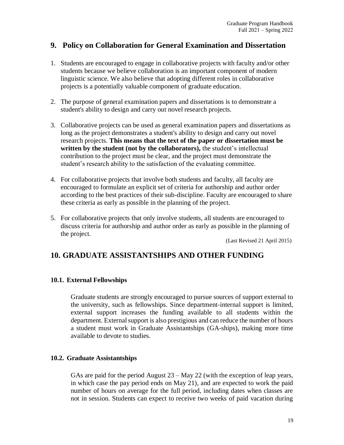### **9. Policy on Collaboration for General Examination and Dissertation**

- 1. Students are encouraged to engage in collaborative projects with faculty and/or other students because we believe collaboration is an important component of modern linguistic science. We also believe that adopting different roles in collaborative projects is a potentially valuable component of graduate education.
- 2. The purpose of general examination papers and dissertations is to demonstrate a student's ability to design and carry out novel research projects.
- 3. Collaborative projects can be used as general examination papers and dissertations as long as the project demonstrates a student's ability to design and carry out novel research projects. **This means that the text of the paper or dissertation must be written by the student (not by the collaborators),** the student's intellectual contribution to the project must be clear, and the project must demonstrate the student's research ability to the satisfaction of the evaluating committee.
- 4. For collaborative projects that involve both students and faculty, all faculty are encouraged to formulate an explicit set of criteria for authorship and author order according to the best practices of their sub-discipline. Faculty are encouraged to share these criteria as early as possible in the planning of the project.
- 5. For collaborative projects that only involve students, all students are encouraged to discuss criteria for authorship and author order as early as possible in the planning of the project.

(Last Revised 21 April 2015)

### **10. GRADUATE ASSISTANTSHIPS AND OTHER FUNDING**

### **10.1. External Fellowships**

Graduate students are strongly encouraged to pursue sources of support external to the university, such as fellowships. Since department-internal support is limited, external support increases the funding available to all students within the department. External support is also prestigious and can reduce the number of hours a student must work in Graduate Assistantships (GA-ships), making more time available to devote to studies.

### **10.2. Graduate Assistantships**

GAs are paid for the period August  $23 - May 22$  (with the exception of leap years, in which case the pay period ends on May 21), and are expected to work the paid number of hours on average for the full period, including dates when classes are not in session. Students can expect to receive two weeks of paid vacation during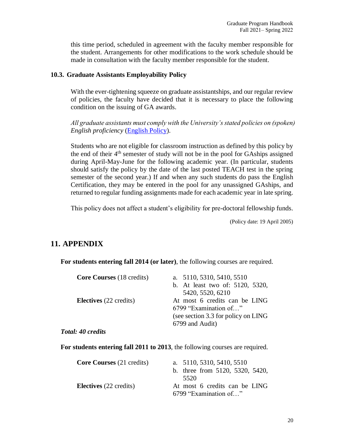this time period, scheduled in agreement with the faculty member responsible for the student. Arrangements for other modifications to the work schedule should be made in consultation with the faculty member responsible for the student.

#### **10.3. Graduate Assistants Employability Policy**

With the ever-tightening squeeze on graduate assistantships, and our regular review of policies, the faculty have decided that it is necessary to place the following condition on the issuing of GA awards.

*All graduate assistants must comply with the University's stated policies on (spoken) English proficiency* (English Policy).

Students who are not eligible for classroom instruction as defined by this policy by the end of their 4th semester of study will not be in the pool for GAships assigned during April-May-June for the following academic year. (In particular, students should satisfy the policy by the date of the last posted TEACH test in the spring semester of the second year.) If and when any such students do pass the English Certification, they may be entered in the pool for any unassigned GAships, and returned to regular funding assignments made for each academic year in late spring.

This policy does not affect a student's eligibility for pre-doctoral fellowship funds.

(Policy date: 19 April 2005)

### **11. APPENDIX**

**For students entering fall 2014 (or later)**, the following courses are required.

| <b>Core Courses</b> (18 credits)         | a. 5110, 5310, 5410, 5510            |
|------------------------------------------|--------------------------------------|
|                                          | b. At least two of: 5120, 5320,      |
|                                          | 5420, 5520, 6210                     |
| Electives (22 credits)                   | At most 6 credits can be LING        |
|                                          | 6799 "Examination of"                |
|                                          | (see section 3.3 for policy on LING) |
|                                          | 6799 and Audit)                      |
| $\mathbf{1}$ $\mathbf{10}$ $\mathbf{11}$ |                                      |

*Total: 40 credits*

**For students entering fall 2011 to 2013**, the following courses are required.

| <b>Core Courses</b> (21 credits) | a. 5110, 5310, 5410, 5510<br>b. three from 5120, 5320, 5420,<br>5520 |
|----------------------------------|----------------------------------------------------------------------|
| <b>Electives</b> (22 credits)    | At most 6 credits can be LING<br>6799 "Examination of"               |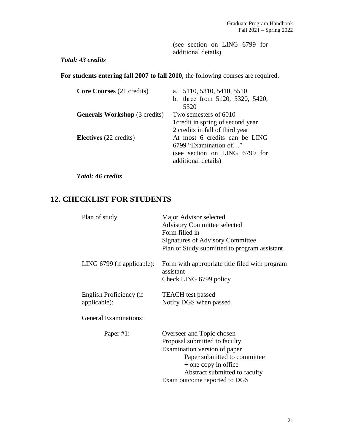(see section on LING 6799 for additional details)

### *Total: 43 credits*

**For students entering fall 2007 to fall 2010**, the following courses are required.

| <b>Core Courses</b> (21 credits)     | a. 5110, 5310, 5410, 5510<br>b. three from 5120, 5320, 5420,<br>5520                                           |
|--------------------------------------|----------------------------------------------------------------------------------------------------------------|
| <b>Generals Workshop</b> (3 credits) | Two semesters of 6010<br>1 credit in spring of second year<br>2 credits in fall of third year                  |
| <b>Electives</b> (22 credits)        | At most 6 credits can be LING<br>6799 "Examination of"<br>(see section on LING 6799 for<br>additional details) |

*Total: 46 credits*

### **12. CHECKLIST FOR STUDENTS**

| Plan of study                           | Major Advisor selected<br><b>Advisory Committee selected</b><br>Form filled in<br><b>Signatures of Advisory Committee</b><br>Plan of Study submitted to program assistant                                           |
|-----------------------------------------|---------------------------------------------------------------------------------------------------------------------------------------------------------------------------------------------------------------------|
| LING $6799$ (if applicable):            | Form with appropriate title filed with program<br>assistant<br>Check LING 6799 policy                                                                                                                               |
| English Proficiency (if<br>applicable): | <b>TEACH</b> test passed<br>Notify DGS when passed                                                                                                                                                                  |
| <b>General Examinations:</b>            |                                                                                                                                                                                                                     |
| Paper #1:                               | Overseer and Topic chosen<br>Proposal submitted to faculty<br>Examination version of paper<br>Paper submitted to committee<br>+ one copy in office<br>Abstract submitted to faculty<br>Exam outcome reported to DGS |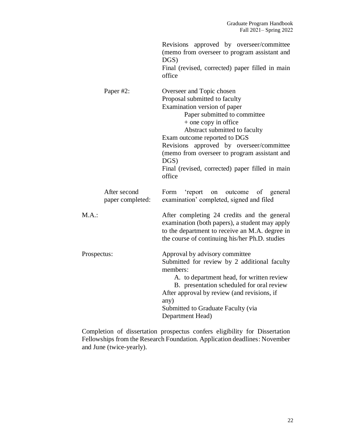|                                  | Revisions approved by overseer/committee<br>(memo from overseer to program assistant and<br>$DGS$ )<br>Final (revised, corrected) paper filled in main<br>office                                                                                                                                                                                                                           |
|----------------------------------|--------------------------------------------------------------------------------------------------------------------------------------------------------------------------------------------------------------------------------------------------------------------------------------------------------------------------------------------------------------------------------------------|
| Paper #2:                        | Overseer and Topic chosen<br>Proposal submitted to faculty<br>Examination version of paper<br>Paper submitted to committee<br>+ one copy in office<br>Abstract submitted to faculty<br>Exam outcome reported to DGS<br>approved by overseer/committee<br>Revisions<br>(memo from overseer to program assistant and<br>$DGS$ )<br>Final (revised, corrected) paper filled in main<br>office |
| After second<br>paper completed: | Form<br>'report<br>outcome<br>of general<br>on<br>examination' completed, signed and filed                                                                                                                                                                                                                                                                                                 |
| M.A.:                            | After completing 24 credits and the general<br>examination (both papers), a student may apply<br>to the department to receive an M.A. degree in<br>the course of continuing his/her Ph.D. studies                                                                                                                                                                                          |
| Prospectus:                      | Approval by advisory committee<br>Submitted for review by 2 additional faculty<br>members:<br>A. to department head, for written review<br>B. presentation scheduled for oral review<br>After approval by review (and revisions, if<br>any)<br>Submitted to Graduate Faculty (via<br>Department Head)                                                                                      |

Completion of dissertation prospectus confers eligibility for Dissertation Fellowships from the Research Foundation. Application deadlines: November and June (twice-yearly).